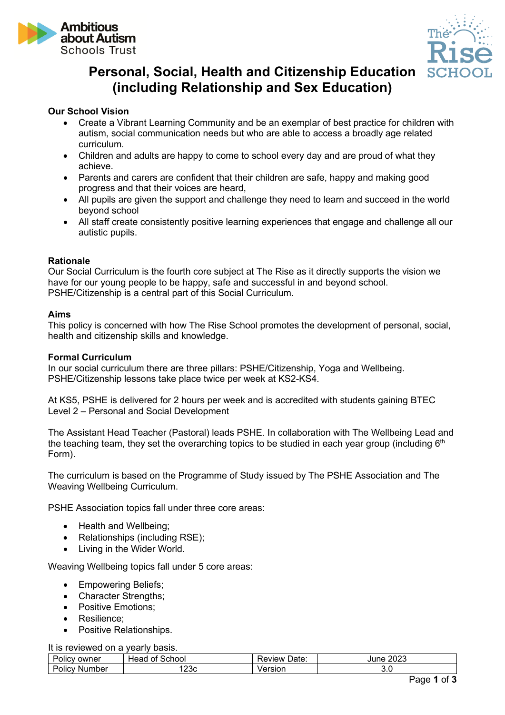



# **Personal, Social, Health and Citizenship Education (including Relationship and Sex Education)**

# **Our School Vision**

- Create a Vibrant Learning Community and be an exemplar of best practice for children with autism, social communication needs but who are able to access a broadly age related curriculum.
- Children and adults are happy to come to school every day and are proud of what they achieve.
- Parents and carers are confident that their children are safe, happy and making good progress and that their voices are heard,
- All pupils are given the support and challenge they need to learn and succeed in the world beyond school
- All staff create consistently positive learning experiences that engage and challenge all our autistic pupils.

# **Rationale**

Our Social Curriculum is the fourth core subject at The Rise as it directly supports the vision we have for our young people to be happy, safe and successful in and beyond school. PSHE/Citizenship is a central part of this Social Curriculum.

#### **Aims**

This policy is concerned with how The Rise School promotes the development of personal, social, health and citizenship skills and knowledge.

#### **Formal Curriculum**

In our social curriculum there are three pillars: PSHE/Citizenship, Yoga and Wellbeing. PSHE/Citizenship lessons take place twice per week at KS2-KS4.

At KS5, PSHE is delivered for 2 hours per week and is accredited with students gaining BTEC Level 2 – Personal and Social Development

The Assistant Head Teacher (Pastoral) leads PSHE. In collaboration with The Wellbeing Lead and the teaching team, they set the overarching topics to be studied in each year group (including  $6<sup>th</sup>$ Form).

The curriculum is based on the Programme of Study issued by The PSHE Association and The Weaving Wellbeing Curriculum.

PSHE Association topics fall under three core areas:

- Health and Wellbeing:
- Relationships (including RSE):
- Living in the Wider World.

Weaving Wellbeing topics fall under 5 core areas:

- Empowering Beliefs;
- Character Strengths;
- Positive Emotions;
- Resilience;
- Positive Relationships.

It is reviewed on a yearly basis.

| -<br><br>owner<br>OIIC                  | school<br>ot<br>неас | Jate.<br>keview | nnnn<br>une.<br>2023 |
|-----------------------------------------|----------------------|-----------------|----------------------|
| -<br>$\sim$<br>.<br>IN)<br>npei<br>OIIC | '23c                 | 80 K            | ◡.◡                  |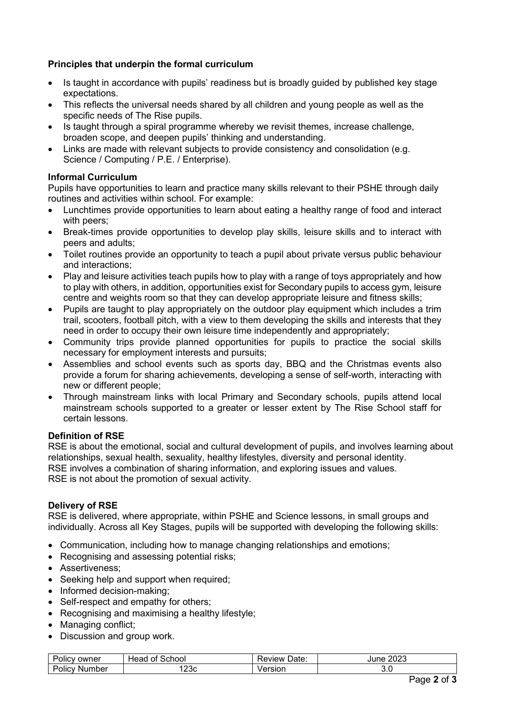# **Principles that underpin the formal curriculum**

- Is taught in accordance with pupils' readiness but is broadly quided by published key stage expectations.
- This reflects the universal needs shared by all children and young people as well as the specific needs of The Rise pupils.
- Is taught through a spiral programme whereby we revisit themes, increase challenge, broaden scope, and deepen pupils' thinking and understanding.
- Links are made with relevant subjects to provide consistency and consolidation (e.g. Science / Computing / P.E. / Enterprise).

# **Informal Curriculum**

Pupils have opportunities to learn and practice many skills relevant to their PSHE through daily routines and activities within school. For example:

- Lunchtimes provide opportunities to learn about eating a healthy range of food and interact with peers;
- Break-times provide opportunities to develop play skills, leisure skills and to interact with peers and adults;
- Toilet routines provide an opportunity to teach a pupil about private versus public behaviour and interactions;
- Play and leisure activities teach pupils how to play with a range of toys appropriately and how to play with others, in addition, opportunities exist for Secondary pupils to access gym, leisure centre and weights room so that they can develop appropriate leisure and fitness skills;
- Pupils are taught to play appropriately on the outdoor play equipment which includes a trim trail, scooters, football pitch, with a view to them developing the skills and interests that they need in order to occupy their own leisure time independently and appropriately;
- Community trips provide planned opportunities for pupils to practice the social skills necessary for employment interests and pursuits;
- Assemblies and school events such as sports day, BBQ and the Christmas events also provide a forum for sharing achievements, developing a sense of self-worth, interacting with new or different people;
- Through mainstream links with local Primary and Secondary schools, pupils attend local mainstream schools supported to a greater or lesser extent by The Rise School staff for certain lessons.

# **Definition of RSE**

RSE is about the emotional, social and cultural development of pupils, and involves learning about relationships, sexual health, sexuality, healthy lifestyles, diversity and personal identity. RSE involves a combination of sharing information, and exploring issues and values. RSE is not about the promotion of sexual activity.

# **Delivery of RSE**

RSE is delivered, where appropriate, within PSHE and Science lessons, in small groups and individually. Across all Key Stages, pupils will be supported with developing the following skills:

- Communication, including how to manage changing relationships and emotions;
- Recognising and assessing potential risks;
- Assertiveness;
- Seeking help and support when required;
- Informed decision-making:
- Self-respect and empathy for others;
- Recognising and maximising a healthy lifestyle;
- Managing conflict:
- Discussion and group work.

| <br>-<br>owner<br>OIIC | School<br>οt<br>⊣eac | -<br>Date.<br>eview | ה ה ה<br>June<br>∿∠∨′ |
|------------------------|----------------------|---------------------|-----------------------|
| umber<br>olic<br>NL    | '23c                 | ersion<br>'el       | v.v                   |